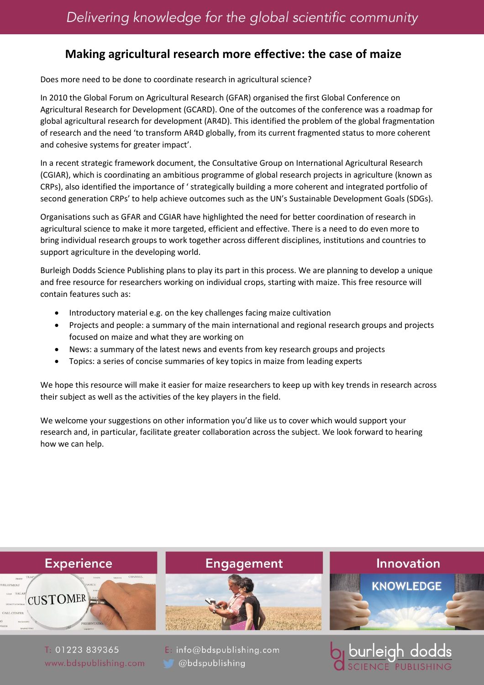## **Making agricultural research more effective: the case of maize**

Does more need to be done to coordinate research in agricultural science?

In 2010 the Global Forum on Agricultural Research (GFAR) organised the first Global Conference on Agricultural Research for Development (GCARD). One of the outcomes of the conference was a roadmap for global agricultural research for development (AR4D). This identified the problem of the global fragmentation of research and the need 'to transform AR4D globally, from its current fragmented status to more coherent and cohesive systems for greater impact'.

In a recent strategic framework document, the Consultative Group on International Agricultural Research (CGIAR), which is coordinating an ambitious programme of global research projects in agriculture (known as CRPs), also identified the importance of ' strategically building a more coherent and integrated portfolio of second generation CRPs' to help achieve outcomes such as the UN's Sustainable Development Goals (SDGs).

Organisations such as GFAR and CGIAR have highlighted the need for better coordination of research in agricultural science to make it more targeted, efficient and effective. There is a need to do even more to bring individual research groups to work together across different disciplines, institutions and countries to support agriculture in the developing world.

Burleigh Dodds Science Publishing plans to play its part in this process. We are planning to develop a unique and free resource for researchers working on individual crops, starting with maize. This free resource will contain features such as:

- Introductory material e.g. on the key challenges facing maize cultivation
- Projects and people: a summary of the main international and regional research groups and projects focused on maize and what they are working on
- News: a summary of the latest news and events from key research groups and projects
- Topics: a series of concise summaries of key topics in maize from leading experts

We hope this resource will make it easier for maize researchers to keep up with key trends in research across their subject as well as the activities of the key players in the field.

We welcome your suggestions on other information you'd like us to cover which would support your research and, in particular, facilitate greater collaboration across the subject. We look forward to hearing how we can help.